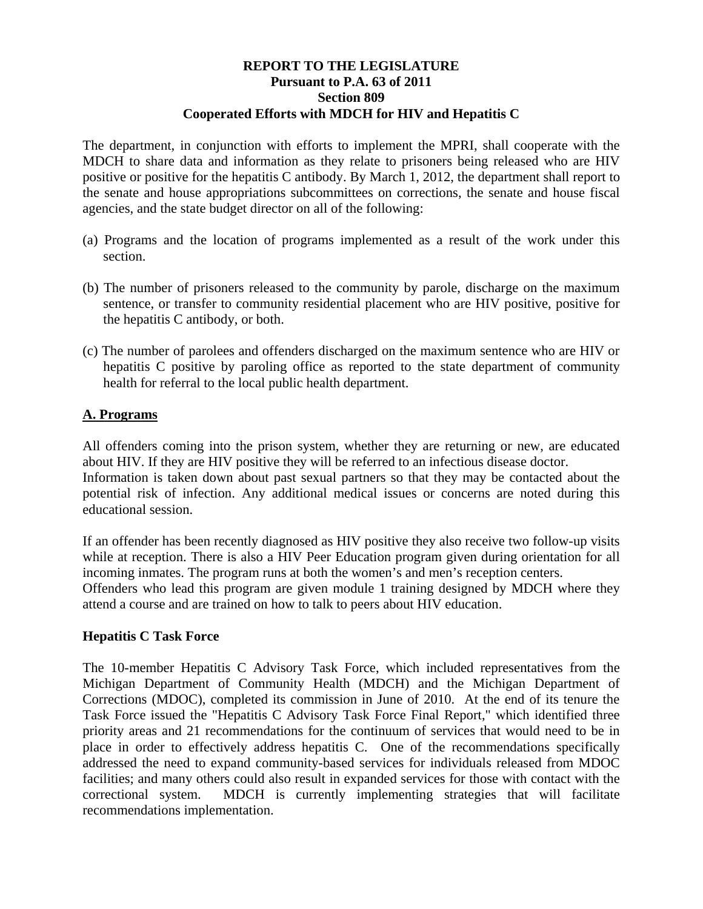### **REPORT TO THE LEGISLATURE Pursuant to P.A. 63 of 2011 Section 809 Cooperated Efforts with MDCH for HIV and Hepatitis C**

The department, in conjunction with efforts to implement the MPRI, shall cooperate with the MDCH to share data and information as they relate to prisoners being released who are HIV positive or positive for the hepatitis C antibody. By March 1, 2012, the department shall report to the senate and house appropriations subcommittees on corrections, the senate and house fiscal agencies, and the state budget director on all of the following:

- (a) Programs and the location of programs implemented as a result of the work under this section.
- (b) The number of prisoners released to the community by parole, discharge on the maximum sentence, or transfer to community residential placement who are HIV positive, positive for the hepatitis C antibody, or both.
- (c) The number of parolees and offenders discharged on the maximum sentence who are HIV or hepatitis C positive by paroling office as reported to the state department of community health for referral to the local public health department.

## **A. Programs**

All offenders coming into the prison system, whether they are returning or new, are educated about HIV. If they are HIV positive they will be referred to an infectious disease doctor. Information is taken down about past sexual partners so that they may be contacted about the potential risk of infection. Any additional medical issues or concerns are noted during this educational session.

If an offender has been recently diagnosed as HIV positive they also receive two follow-up visits while at reception. There is also a HIV Peer Education program given during orientation for all incoming inmates. The program runs at both the women's and men's reception centers. Offenders who lead this program are given module 1 training designed by MDCH where they attend a course and are trained on how to talk to peers about HIV education.

#### **Hepatitis C Task Force**

The 10-member Hepatitis C Advisory Task Force, which included representatives from the Michigan Department of Community Health (MDCH) and the Michigan Department of Corrections (MDOC), completed its commission in June of 2010. At the end of its tenure the Task Force issued the "Hepatitis C Advisory Task Force Final Report," which identified three priority areas and 21 recommendations for the continuum of services that would need to be in place in order to effectively address hepatitis C. One of the recommendations specifically addressed the need to expand community-based services for individuals released from MDOC facilities; and many others could also result in expanded services for those with contact with the correctional system. MDCH is currently implementing strategies that will facilitate recommendations implementation.